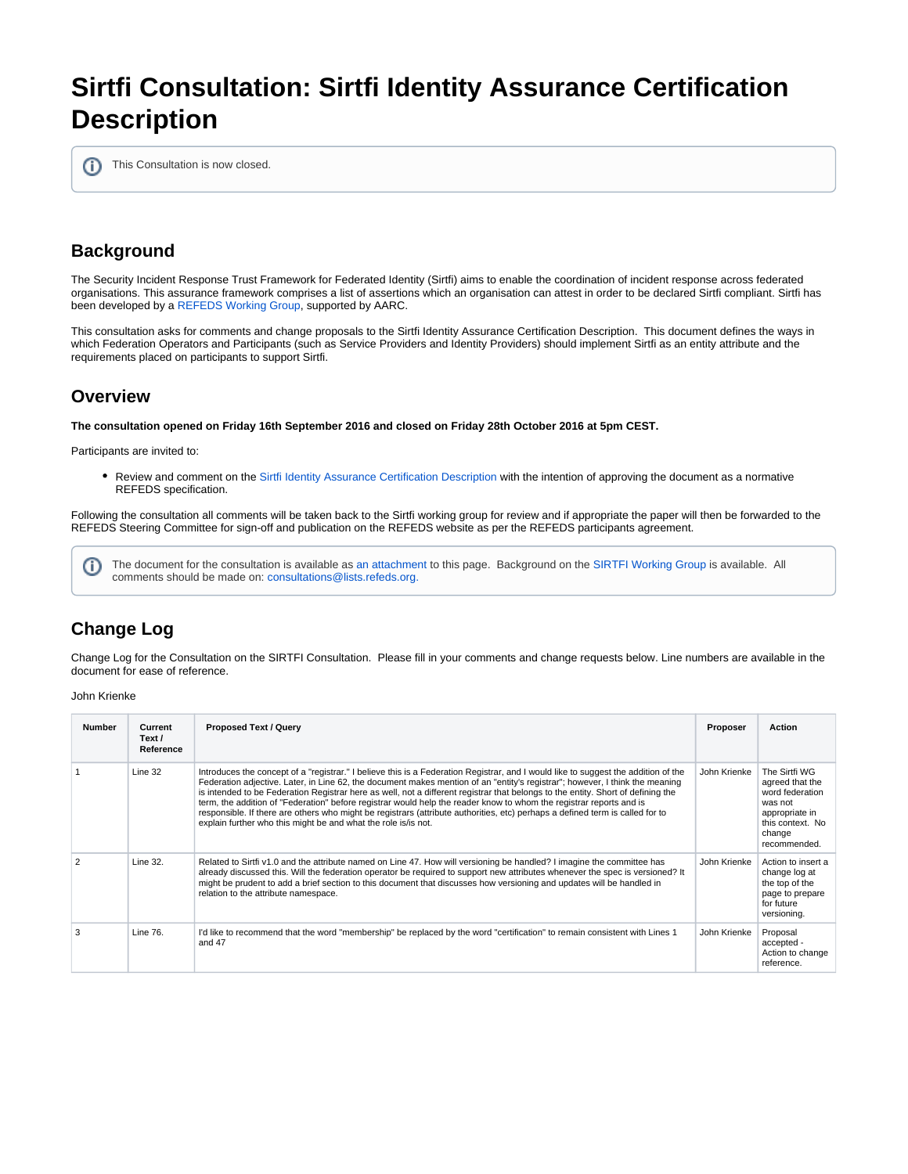# **Sirtfi Consultation: Sirtfi Identity Assurance Certification Description**

This Consultation is now closed. ത

## **Background**

The Security Incident Response Trust Framework for Federated Identity (Sirtfi) aims to enable the coordination of incident response across federated organisations. This assurance framework comprises a list of assertions which an organisation can attest in order to be declared Sirtfi compliant. Sirtfi has been developed by a [REFEDS Working Group,](https://wiki.refeds.org/display/SIRTFI/SIRTFI+Home) supported by AARC.

This consultation asks for comments and change proposals to the Sirtfi Identity Assurance Certification Description. This document defines the ways in which Federation Operators and Participants (such as Service Providers and Identity Providers) should implement Sirtfi as an entity attribute and the requirements placed on participants to support Sirtfi.

#### **Overview**

**The consultation opened on Friday 16th September 2016 and closed on Friday 28th October 2016 at 5pm CEST.**

Participants are invited to:

• Review and comment on the [Sirtfi Identity Assurance Certification Description](https://wiki.refeds.org/download/attachments/15204391/SirtfiIdentityAssuranceCertificationDescription-Draft2.pdf?version=2&modificationDate=1474046387560&api=v2) with the intention of approving the document as a normative REFEDS specification.

Following the consultation all comments will be taken back to the Sirtfi working group for review and if appropriate the paper will then be forwarded to the REFEDS Steering Committee for sign-off and publication on the REFEDS website as per the REFEDS participants agreement.

The document for the consultation is available as [an attachment](https://wiki.refeds.org/download/attachments/15204391/SirtfiIdentityAssuranceCertificationDescription-Draft2.pdf?version=2&modificationDate=1474046387560&api=v2) to this page. Background on the [SIRTFI Working Group](https://wiki.refeds.org/display/GROUPS/SIRTFI) is available. All G) comments should be made on: [consultations@lists.refeds.org.](https://lists.refeds.org/sympa/info/consultations)

## **Change Log**

Change Log for the Consultation on the SIRTFI Consultation. Please fill in your comments and change requests below. Line numbers are available in the document for ease of reference.

#### John Krienke

| <b>Number</b> | Current<br>Text /<br>Reference | <b>Proposed Text / Query</b>                                                                                                                                                                                                                                                                                                                                                                                                                                                                                                                                                                                                                                                                                                     | Proposer     | <b>Action</b>                                                                                                                  |
|---------------|--------------------------------|----------------------------------------------------------------------------------------------------------------------------------------------------------------------------------------------------------------------------------------------------------------------------------------------------------------------------------------------------------------------------------------------------------------------------------------------------------------------------------------------------------------------------------------------------------------------------------------------------------------------------------------------------------------------------------------------------------------------------------|--------------|--------------------------------------------------------------------------------------------------------------------------------|
|               | Line 32                        | Introduces the concept of a "registrar." I believe this is a Federation Registrar, and I would like to suggest the addition of the<br>Federation adjective. Later, in Line 62, the document makes mention of an "entity's registrar"; however, I think the meaning<br>is intended to be Federation Registrar here as well, not a different registrar that belongs to the entity. Short of defining the<br>term, the addition of "Federation" before registrar would help the reader know to whom the registrar reports and is<br>responsible. If there are others who might be registrars (attribute authorities, etc) perhaps a defined term is called for to<br>explain further who this might be and what the role is/is not. | John Krienke | The Sirtfi WG<br>agreed that the<br>word federation<br>was not<br>appropriate in<br>this context. No<br>change<br>recommended. |
|               | Line 32.                       | Related to Sirtfi v1.0 and the attribute named on Line 47. How will versioning be handled? I imagine the committee has<br>already discussed this. Will the federation operator be required to support new attributes whenever the spec is versioned? It<br>might be prudent to add a brief section to this document that discusses how versioning and updates will be handled in<br>relation to the attribute namespace.                                                                                                                                                                                                                                                                                                         | John Krienke | Action to insert a<br>change log at<br>the top of the<br>page to prepare<br>for future<br>versioning.                          |
| 3             | Line 76.                       | I'd like to recommend that the word "membership" be replaced by the word "certification" to remain consistent with Lines 1<br>and $47$                                                                                                                                                                                                                                                                                                                                                                                                                                                                                                                                                                                           | John Krienke | Proposal<br>accepted -<br>Action to change<br>reference.                                                                       |